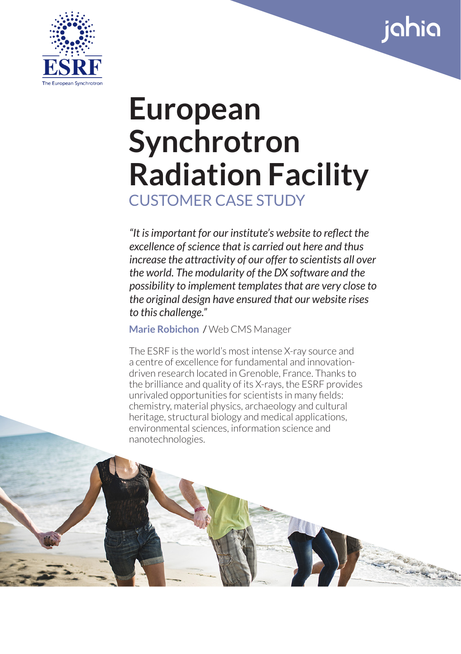



# **European Synchrotron Radiation Facility** CUSTOMER CASE STUDY

*"It is important for our institute's website to reflect the excellence of science that is carried out here and thus increase the attractivity of our offer to scientists all over the world. The modularity of the DX software and the possibility to implement templates that are very close to the original design have ensured that our website rises to this challenge."*

**Marie Robichon** / Web CMS Manager

The ESRF is the world's most intense X-ray source and a centre of excellence for fundamental and innovationdriven research located in Grenoble, France. Thanks to the brilliance and quality of its X-rays, the ESRF provides unrivaled opportunities for scientists in many fields: chemistry, material physics, archaeology and cultural heritage, structural biology and medical applications, environmental sciences, information science and nanotechnologies.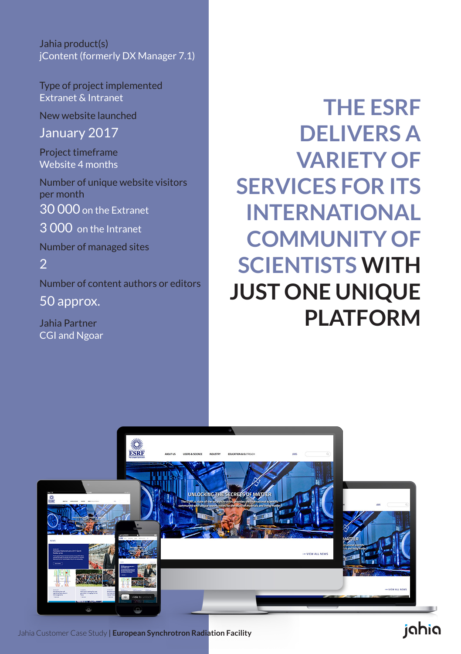Jahia product(s) jContent (formerly DX Manager 7.1)

Type of project implemented Extranet & Intranet

New website launched

January 2017

Project timeframe Website 4 months

Number of unique website visitors per month 30 000 on the Extranet

3 000 on the Intranet

Number of managed sites

2 Number of content authors or editors

50 approx.

Jahia Partner CGI and Ngoar

**THE ESRF DELIVERS A VARIETY OF SERVICES FOR ITS INTERNATIONAL COMMUNITY OF SCIENTISTS WITH JUST ONE UNIQUE PLATFORM**



Jahia Customer Case Study | **European Synchrotron Radiation Facility**

### jahia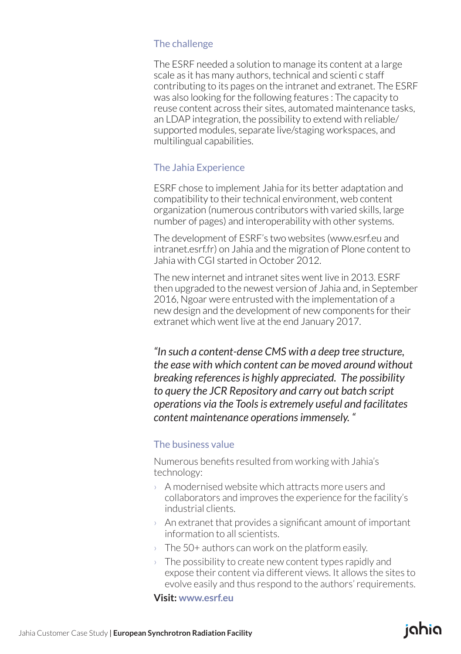#### The challenge

The ESRF needed a solution to manage its content at a large scale as it has many authors, technical and scienti c staff contributing to its pages on the intranet and extranet. The ESRF was also looking for the following features : The capacity to reuse content across their sites, automated maintenance tasks, an LDAP integration, the possibility to extend with reliable/ supported modules, separate live/staging workspaces, and multilingual capabilities.

#### The Jahia Experience

ESRF chose to implement Jahia for its better adaptation and compatibility to their technical environment, web content organization (numerous contributors with varied skills, large number of pages) and interoperability with other systems.

The development of ESRF's two websites (www.esrf.eu and intranet.esrf.fr) on Jahia and the migration of Plone content to Jahia with CGI started in October 2012.

The new internet and intranet sites went live in 2013. ESRF then upgraded to the newest version of Jahia and, in September 2016, Ngoar were entrusted with the implementation of a new design and the development of new components for their extranet which went live at the end January 2017.

*"In such a content-dense CMS with a deep tree structure, the ease with which content can be moved around without breaking references is highly appreciated. The possibility to query the JCR Repository and carry out batch script operations via the Tools is extremely useful and facilitates content maintenance operations immensely. "*

#### The business value

Numerous benefits resulted from working with Jahia's technology:

- › A modernised website which attracts more users and collaborators and improves the experience for the facility's industrial clients.
- $\rightarrow$  An extranet that provides a significant amount of important information to all scientists.
- $\rightarrow$  The 50+ authors can work on the platform easily.
- $\rightarrow$  The possibility to create new content types rapidly and expose their content via different views. It allows the sites to evolve easily and thus respond to the authors' requirements.

ighig

**Visit: www.esrf.eu**